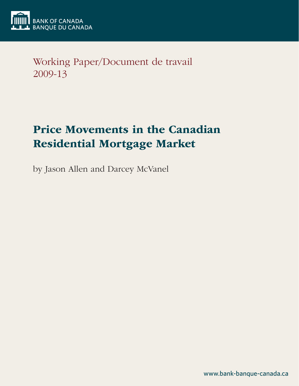

Working Paper/Document de travail 2009-13

# Price Movements in the Canadian Residential Mortgage Market

by Jason Allen and Darcey McVanel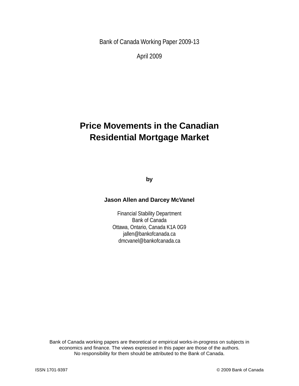Bank of Canada Working Paper 2009-13

April 2009

## **Price Movements in the Canadian Residential Mortgage Market**

**by**

#### **Jason Allen and Darcey McVanel**

Financial Stability Department Bank of Canada Ottawa, Ontario, Canada K1A 0G9 jallen@bankofcanada.ca dmcvanel@bankofcanada.ca

Bank of Canada working papers are theoretical or empirical works-in-progress on subjects in economics and finance. The views expressed in this paper are those of the authors. No responsibility for them should be attributed to the Bank of Canada.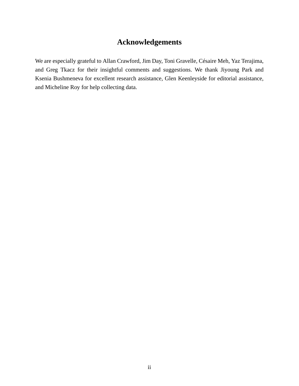## **Acknowledgements**

We are especially grateful to Allan Crawford, Jim Day, Toni Gravelle, Césaire Meh, Yaz Terajima, and Greg Tkacz for their insightful comments and suggestions. We thank Jiyoung Park and Ksenia Bushmeneva for excellent research assistance, Glen Keenleyside for editorial assistance, and Micheline Roy for help collecting data.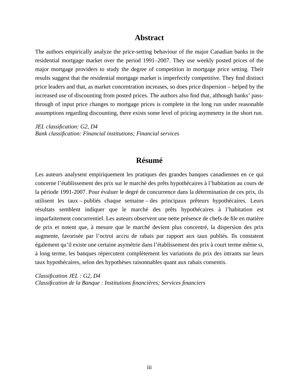#### **Abstract**

The authors empirically analyze the price-setting behaviour of the major Canadian banks in the residential mortgage market over the period 1991–2007. They use weekly posted prices of the major mortgage providers to study the degree of competition in mortgage price setting. Their results suggest that the residential mortgage market is imperfectly competitive. They find distinct price leaders and that, as market concentration increases, so does price dispersion – helped by the increased use of discounting from posted prices. The authors also find that, although banks' passthrough of input price changes to mortgage prices is complete in the long run under reasonable assumptions regarding discounting, there exists some level of pricing asymmetry in the short run.

*JEL classification: G2, D4 Bank classification: Financial institutions; Financial services*

### **Résumé**

Les auteurs analysent empiriquement les pratiques des grandes banques canadiennes en ce qui concerne l'établissement des prix sur le marché des prêts hypothécaires à l'habitation au cours de la période 1991-2007. Pour évaluer le degré de concurrence dans la détermination de ces prix, ils utilisent les taux – publiés chaque semaine – des principaux prêteurs hypothécaires. Leurs résultats semblent indiquer que le marché des prêts hypothécaires à l'habitation est imparfaitement concurrentiel. Les auteurs observent une nette présence de chefs de file en matière de prix et notent que, à mesure que le marché devient plus concentré, la dispersion des prix augmente, favorisée par l'octroi accru de rabais par rapport aux taux publiés. Ils constatent également qu'il existe une certaine asymétrie dans l'établissement des prix à court terme même si, à long terme, les banques répercutent complètement les variations du prix des intrants sur leurs taux hypothécaires, selon des hypothèses raisonnables quant aux rabais consentis.

*Classification JEL : G2, D4 Classification de la Banque : Institutions financières; Services financiers*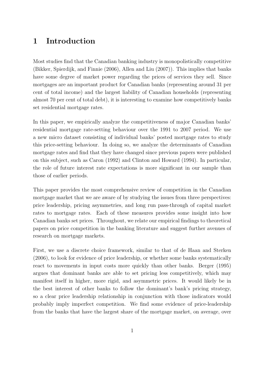## 1 Introduction

Most studies find that the Canadian banking industry is monopolistically competitive (Bikker, Spierdijk, and Finnie (2006), Allen and Liu (2007)). This implies that banks have some degree of market power regarding the prices of services they sell. Since mortgages are an important product for Canadian banks (representing around 31 per cent of total income) and the largest liability of Canadian households (representing almost 70 per cent of total debt), it is interesting to examine how competitively banks set residential mortgage rates.

In this paper, we empirically analyze the competitiveness of major Canadian banks' residential mortgage rate-setting behaviour over the 1991 to 2007 period. We use a new micro dataset consisting of individual banks' posted mortgage rates to study this price-setting behaviour. In doing so, we analyze the determinants of Canadian mortgage rates and find that they have changed since previous papers were published on this subject, such as Caron (1992) and Clinton and Howard (1994). In particular, the role of future interest rate expectations is more significant in our sample than those of earlier periods.

This paper provides the most comprehensive review of competition in the Canadian mortgage market that we are aware of by studying the issues from three perspectives: price leadership, pricing asymmetries, and long run pass-through of capital market rates to mortgage rates. Each of these measures provides some insight into how Canadian banks set prices. Throughout, we relate our empirical findings to theoretical papers on price competition in the banking literature and suggest further avenues of research on mortgage markets.

First, we use a discrete choice framework, similar to that of de Haan and Sterken (2006), to look for evidence of price leadership, or whether some banks systematically react to movements in input costs more quickly than other banks. Berger (1995) argues that dominant banks are able to set pricing less competitively, which may manifest itself in higher, more rigid, and asymmetric prices. It would likely be in the best interest of other banks to follow the dominant's bank's pricing strategy, so a clear price leadership relationship in conjunction with those indicators would probably imply imperfect competition. We find some evidence of price-leadership from the banks that have the largest share of the mortgage market, on average, over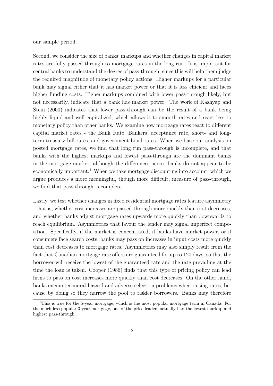our sample period.

Second, we consider the size of banks' markups and whether changes in capital market rates are fully passed through to mortgage rates in the long run. It is important for central banks to understand the degree of pass-through, since this will help them judge the required magnitude of monetary policy actions. Higher markups for a particular bank may signal either that it has market power or that it is less efficient and faces higher funding costs. Higher markups combined with lower pass-through likely, but not necessarily, indicate that a bank has market power. The work of Kashyap and Stein (2000) indicates that lower pass-through can be the result of a bank being highly liquid and well capitalized, which allows it to smooth rates and react less to monetary policy than other banks. We examine how mortgage rates react to different capital market rates - the Bank Rate, Bankers' acceptance rate, short- and longterm treasury bill rates, and government bond rates. When we base our analysis on posted mortgage rates, we find that long run pass-through is incomplete, and that banks with the highest markups and lowest pass-through are the dominant banks in the mortgage market, although the differences across banks do not appear to be economically important.<sup>1</sup> When we take mortgage discounting into account, which we argue produces a more meaningful, though more difficult, measure of pass-through, we find that pass-through is complete.

Lastly, we test whether changes in fixed residential mortgage rates feature asymmetry - that is, whether cost increases are passed through more quickly than cost decreases, and whether banks adjust mortgage rates upwards more quickly than downwards to reach equilibrium. Asymmetries that favour the lender may signal imperfect competition. Specifically, if the market is concentrated, if banks have market power, or if consumers face search costs, banks may pass on increases in input costs more quickly than cost decreases to mortgage rates. Asymmetries may also simply result from the fact that Canadian mortgage rate offers are guaranteed for up to 120 days, so that the borrower will receive the lowest of the guaranteed rate and the rate prevailing at the time the loan is taken. Cooper (1986) finds that this type of pricing policy can lead firms to pass on cost increases more quickly than cost decreases. On the other hand, banks encounter moral-hazard and adverse-selection problems when raising rates, because by doing so they narrow the pool to riskier borrowers. Banks may therefore

<sup>&</sup>lt;sup>1</sup>This is true for the 5-year mortgage, which is the most popular mortgage term in Canada. For the much less popular 3-year mortgage, one of the price leaders actually had the lowest markup and highest pass-through.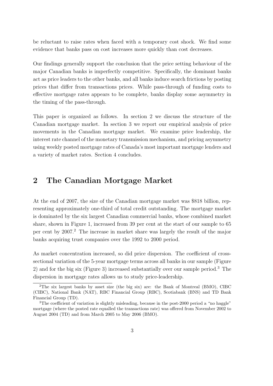be reluctant to raise rates when faced with a temporary cost shock. We find some evidence that banks pass on cost increases more quickly than cost decreases.

Our findings generally support the conclusion that the price setting behaviour of the major Canadian banks is imperfectly competitive. Specifically, the dominant banks act as price leaders to the other banks, and all banks induce search frictions by posting prices that differ from transactions prices. While pass-through of funding costs to effective mortgage rates appears to be complete, banks display some asymmetry in the timing of the pass-through.

This paper is organized as follows. In section 2 we discuss the structure of the Canadian mortgage market. In section 3 we report our empirical analysis of price movements in the Canadian mortgage market. We examine price leadership, the interest rate channel of the monetary transmission mechanism, and pricing asymmetry using weekly posted mortgage rates of Canada's most important mortgage lenders and a variety of market rates. Section 4 concludes.

## 2 The Canadian Mortgage Market

At the end of 2007, the size of the Canadian mortgage market was \$818 billion, representing approximately one-third of total credit outstanding. The mortgage market is dominated by the six largest Canadian commercial banks, whose combined market share, shown in Figure 1, increased from 39 per cent at the start of our sample to 65 per cent by 2007.<sup>2</sup> The increase in market share was largely the result of the major banks acquiring trust companies over the 1992 to 2000 period.

As market concentration increased, so did price dispersion. The coefficient of crosssectional variation of the 5-year mortgage terms across all banks in our sample (Figure 2) and for the big six (Figure 3) increased substantially over our sample period.<sup>3</sup> The dispersion in mortgage rates allows us to study price-leadership.

<sup>2</sup>The six largest banks by asset size (the big six) are: the Bank of Montreal (BMO), CIBC (CIBC), National Bank (NAT), RBC Financial Group (RBC), Scotiabank (BNS) and TD Bank Financial Group (TD).

<sup>&</sup>lt;sup>3</sup>The coefficient of variation is slightly misleading, because in the post-2000 period a "no haggle" mortgage (where the posted rate equalled the transactions rate) was offered from November 2002 to August 2004 (TD) and from March 2005 to May 2006 (BMO).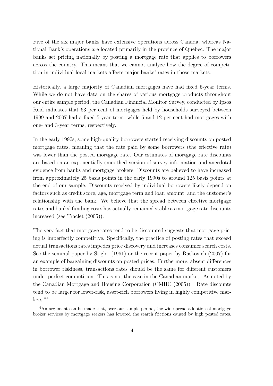Five of the six major banks have extensive operations across Canada, whereas National Bank's operations are located primarily in the province of Quebec. The major banks set pricing nationally by posting a mortgage rate that applies to borrowers across the country. This means that we cannot analyze how the degree of competition in individual local markets affects major banks' rates in those markets.

Historically, a large majority of Canadian mortgages have had fixed 5-year terms. While we do not have data on the shares of various mortgage products throughout our entire sample period, the Canadian Financial Monitor Survey, conducted by Ipsos Reid indicates that 63 per cent of mortgages held by households surveyed between 1999 and 2007 had a fixed 5-year term, while 5 and 12 per cent had mortgages with one- and 3-year terms, respectively.

In the early 1990s, some high-quality borrowers started receiving discounts on posted mortgage rates, meaning that the rate paid by some borrowers (the effective rate) was lower than the posted mortgage rate. Our estimates of mortgage rate discounts are based on an exponentially smoothed version of survey information and anecdotal evidence from banks and mortgage brokers. Discounts are believed to have increased from approximately 25 basis points in the early 1990s to around 125 basis points at the end of our sample. Discounts received by individual borrowers likely depend on factors such as credit score, age, mortgage term and loan amount, and the customer's relationship with the bank. We believe that the spread between effective mortgage rates and banks' funding costs has actually remained stable as mortgage rate discounts increased (see Traclet (2005)).

The very fact that mortgage rates tend to be discounted suggests that mortgage pricing is imperfectly competitive. Specifically, the practice of posting rates that exceed actual transactions rates impedes price discovery and increases consumer search costs. See the seminal paper by Stigler (1961) or the recent paper by Raskovich (2007) for an example of bargaining discounts on posted prices. Furthermore, absent differences in borrower riskiness, transactions rates should be the same for different customers under perfect competition. This is not the case in the Canadian market. As noted by the Canadian Mortgage and Housing Corporation (CMHC (2005)), "Rate discounts tend to be larger for lower-risk, asset-rich borrowers living in highly competitive markets."<sup>4</sup>

<sup>&</sup>lt;sup>4</sup>An argument can be made that, over our sample period, the widespread adoption of mortgage broker services by mortgage seekers has lowered the search frictions caused by high posted rates.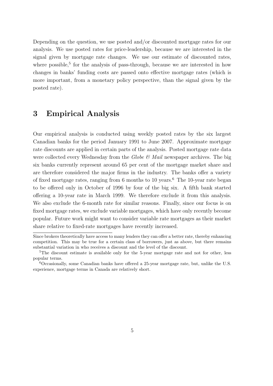Depending on the question, we use posted and/or discounted mortgage rates for our analysis. We use posted rates for price-leadership, because we are interested in the signal given by mortgage rate changes. We use our estimate of discounted rates, where possible,<sup>5</sup> for the analysis of pass-through, because we are interested in how changes in banks' funding costs are passed onto effective mortgage rates (which is more important, from a monetary policy perspective, than the signal given by the posted rate).

## 3 Empirical Analysis

Our empirical analysis is conducted using weekly posted rates by the six largest Canadian banks for the period January 1991 to June 2007. Approximate mortgage rate discounts are applied in certain parts of the analysis. Posted mortgage rate data were collected every Wednesday from the Globe  $\mathcal{B}'$  Mail newspaper archives. The big six banks currently represent around 65 per cent of the mortgage market share and are therefore considered the major firms in the industry. The banks offer a variety of fixed mortgage rates, ranging from 6 months to 10 years.<sup>6</sup> The 10-year rate began to be offered only in October of 1996 by four of the big six. A fifth bank started offering a 10-year rate in March 1999. We therefore exclude it from this analysis. We also exclude the 6-month rate for similar reasons. Finally, since our focus is on fixed mortgage rates, we exclude variable mortgages, which have only recently become popular. Future work might want to consider variable rate mortgages as their market share relative to fixed-rate mortgages have recently increased.

Since brokers theoretically have access to many lenders they can offer a better rate, thereby enhancing competition. This may be true for a certain class of borrowers, just as above, but there remains substantial variation in who receives a discount and the level of the discount.

<sup>&</sup>lt;sup>5</sup>The discount estimate is available only for the 5-year mortgage rate and not for other, less popular terms.

 $6$ Occasionally, some Canadian banks have offered a 25-year mortgage rate, but, unlike the U.S. experience, mortgage terms in Canada are relatively short.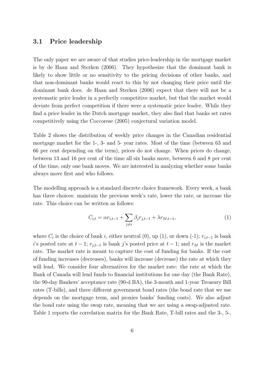#### 3.1 Price leadership

The only paper we are aware of that studies price-leadership in the mortgage market is by de Haan and Sterken (2006). They hypothesize that the dominant bank is likely to show little or no sensitivity to the pricing decisions of other banks, and that non-dominant banks would react to this by not changing their price until the dominant bank does. de Haan and Sterken (2006) expect that there will not be a systematic price leader in a perfectly competitive market, but that the market would deviate from perfect competition if there were a systematic price leader. While they find a price leader in the Dutch mortgage market, they also find that banks set rates competitively using the Coccorese (2005) conjectural variation model.

Table 2 shows the distribution of weekly price changes in the Canadian residential mortgage market for the 1-, 3- and 5- year rates. Most of the time (between 63 and 66 per cent depending on the term), prices do not change. When prices do change, between 13 and 16 per cent of the time all six banks move, between 6 and 8 per cent of the time, only one bank moves. We are interested in analyzing whether some banks always move first and who follows.

The modelling approach is a standard discrete choice framework. Every week, a bank has three choices: maintain the previous week's rate, lower the rate, or increase the rate. This choice can be written as follows:

$$
C_{i,t} = \alpha r_{i,t-1} + \sum_{j \neq i} \beta_j r_{j,t-1} + \lambda r_{M,t-1},
$$
\n(1)

where  $C_i$  is the choice of bank i, either neutral (0), up (1), or down (-1);  $r_{i,t-1}$  is bank i's posted rate at  $t-1$ ;  $r_{j,t-1}$  is bank j's posted price at  $t-1$ ; and  $r_M$  is the market rate. The market rate is meant to capture the cost of funding for banks. If the cost of funding increases (decreases), banks will increase (decrease) the rate at which they will lend. We consider four alternatives for the market rate: the rate at which the Bank of Canada will lend funds to financial institutions for one day (the Bank Rate), the 90-day Bankers' acceptance rate (90-d BA), the 3-month and 1-year Treasury Bill rates (T-bills), and three different government bond rates (the bond rate that we use depends on the mortgage term, and proxies banks' funding costs). We also adjust the bond rate using the swap rate, meaning that we are using a swap-adjusted rate. Table 1 reports the correlation matrix for the Bank Rate, T-bill rates and the 3-, 5-,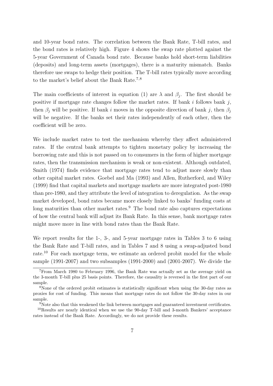and 10-year bond rates. The correlation between the Bank Rate, T-bill rates, and the bond rates is relatively high. Figure 4 shows the swap rate plotted against the 5-year Government of Canada bond rate. Because banks hold short-term liabilities (deposits) and long-term assets (mortgages), there is a maturity mismatch. Banks therefore use swaps to hedge their position. The T-bill rates typically move according to the market's belief about the Bank Rate.<sup>7</sup>,<sup>8</sup>

The main coefficients of interest in equation (1) are  $\lambda$  and  $\beta_j$ . The first should be positive if mortgage rate changes follow the market rates. If bank  $i$  follows bank  $j$ , then  $\beta_i$  will be positive. If bank i moves in the opposite direction of bank j, then  $\beta_i$ will be negative. If the banks set their rates independently of each other, then the coefficient will be zero.

We include market rates to test the mechanism whereby they affect administered rates. If the central bank attempts to tighten monetary policy by increasing the borrowing rate and this is not passed on to consumers in the form of higher mortgage rates, then the transmission mechanism is weak or non-existent. Although outdated, Smith (1974) finds evidence that mortgage rates tend to adjust more slowly than other capital market rates. Goebel and Ma (1993) and Allen, Rutherford, and Wiley (1999) find that capital markets and mortgage markets are more integrated post-1980 than pre-1980, and they attribute the level of integration to deregulation. As the swap market developed, bond rates became more closely linked to banks' funding costs at long maturities than other market rates.<sup>9</sup> The bond rate also captures expectations of how the central bank will adjust its Bank Rate. In this sense, bank mortgage rates might move more in line with bond rates than the Bank Rate.

We report results for the 1-, 3-, and 5-year mortgage rates in Tables 3 to 6 using the Bank Rate and T-bill rates, and in Tables 7 and 8 using a swap-adjusted bond rate.<sup>10</sup> For each mortgage term, we estimate an ordered probit model for the whole sample (1991-2007) and two subsamples (1991-2000) and (2001-2007). We divide the

<sup>7</sup>From March 1980 to February 1996, the Bank Rate was actually set as the average yield on the 3-month T-bill plus 25 basis points. Therefore, the causality is reversed in the first part of our sample.

<sup>&</sup>lt;sup>8</sup>None of the ordered probit estimates is statistically significant when using the 30-day rates as proxies for cost of funding. This means that mortgage rates do not follow the 30-day rates in our sample.

<sup>&</sup>lt;sup>9</sup>Note also that this weakened the link between mortgages and guaranteed investment certificates.

<sup>10</sup>Results are nearly identical when we use the 90-day T-bill and 3-month Bankers' acceptance rates instead of the Bank Rate. Accordingly, we do not provide these results.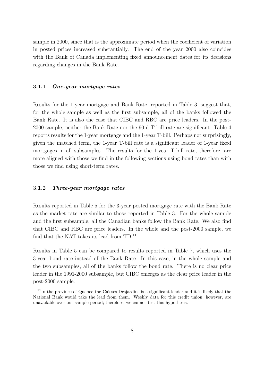sample in 2000, since that is the approximate period when the coefficient of variation in posted prices increased substantially. The end of the year 2000 also coincides with the Bank of Canada implementing fixed announcement dates for its decisions regarding changes in the Bank Rate.

#### 3.1.1 One-year mortgage rates

Results for the 1-year mortgage and Bank Rate, reported in Table 3, suggest that, for the whole sample as well as the first subsample, all of the banks followed the Bank Rate. It is also the case that CIBC and RBC are price leaders. In the post-2000 sample, neither the Bank Rate nor the 90-d T-bill rate are significant. Table 4 reports results for the 1-year mortgage and the 1-year T-bill. Perhaps not surprisingly, given the matched term, the 1-year T-bill rate is a significant leader of 1-year fixed mortgages in all subsamples. The results for the 1-year T-bill rate, therefore, are more aligned with those we find in the following sections using bond rates than with those we find using short-term rates.

#### 3.1.2 Three-year mortgage rates

Results reported in Table 5 for the 3-year posted mortgage rate with the Bank Rate as the market rate are similar to those reported in Table 3. For the whole sample and the first subsample, all the Canadian banks follow the Bank Rate. We also find that CIBC and RBC are price leaders. In the whole and the post-2000 sample, we find that the NAT takes its lead from  $TD.^{11}$ 

Results in Table 5 can be compared to results reported in Table 7, which uses the 3-year bond rate instead of the Bank Rate. In this case, in the whole sample and the two subsamples, all of the banks follow the bond rate. There is no clear price leader in the 1991-2000 subsample, but CIBC emerges as the clear price leader in the post-2000 sample.

<sup>&</sup>lt;sup>11</sup>In the province of Quebec the Caisses Desjardins is a significant lender and it is likely that the National Bank would take the lead from them. Weekly data for this credit union, however, are unavailable over our sample period; therefore, we cannot test this hypothesis.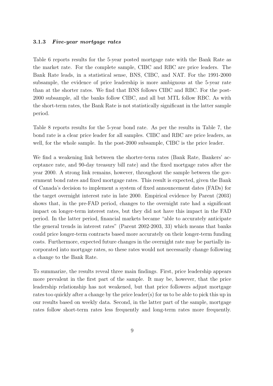#### 3.1.3 Five-year mortgage rates

Table 6 reports results for the 5-year posted mortgage rate with the Bank Rate as the market rate. For the complete sample, CIBC and RBC are price leaders. The Bank Rate leads, in a statistical sense, BNS, CIBC, and NAT. For the 1991-2000 subsample, the evidence of price leadership is more ambiguous at the 5-year rate than at the shorter rates. We find that BNS follows CIBC and RBC. For the post-2000 subsample, all the banks follow CIBC, and all but MTL follow RBC. As with the short-term rates, the Bank Rate is not statistically significant in the latter sample period.

Table 8 reports results for the 5-year bond rate. As per the results in Table 7, the bond rate is a clear price leader for all samples. CIBC and RBC are price leaders, as well, for the whole sample. In the post-2000 subsample, CIBC is the price leader.

We find a weakening link between the shorter-term rates (Bank Rate, Bankers' acceptance rate, and 90-day treasury bill rate) and the fixed mortgage rates after the year 2000. A strong link remains, however, throughout the sample between the government bond rates and fixed mortgage rates. This result is expected, given the Bank of Canada's decision to implement a system of fixed announcement dates (FADs) for the target overnight interest rate in late 2000. Empirical evidence by Parent (2003) shows that, in the pre-FAD period, changes to the overnight rate had a significant impact on longer-term interest rates, but they did not have this impact in the FAD period. In the latter period, financial markets became "able to accurately anticipate the general trends in interest rates" (Parent 2002-2003, 33) which means that banks could price longer-term contracts based more accurately on their longer-term funding costs. Furthermore, expected future changes in the overnight rate may be partially incorporated into mortgage rates, so these rates would not necessarily change following a change to the Bank Rate.

To summarize, the results reveal three main findings. First, price leadership appears more prevalent in the first part of the sample. It may be, however, that the price leadership relationship has not weakened, but that price followers adjust mortgage rates too quickly after a change by the price leader(s) for us to be able to pick this up in our results based on weekly data. Second, in the latter part of the sample, mortgage rates follow short-term rates less frequently and long-term rates more frequently.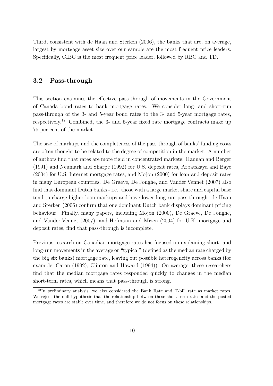Third, consistent with de Haan and Sterken (2006), the banks that are, on average, largest by mortgage asset size over our sample are the most frequent price leaders. Specifically, CIBC is the most frequent price leader, followed by RBC and TD.

#### 3.2 Pass-through

This section examines the effective pass-through of movements in the Government of Canada bond rates to bank mortgage rates. We consider long- and short-run pass-through of the 3- and 5-year bond rates to the 3- and 5-year mortgage rates, respectively.<sup>12</sup> Combined, the 3- and 5-year fixed rate mortgage contracts make up 75 per cent of the market.

The size of markups and the completeness of the pass-through of banks' funding costs are often thought to be related to the degree of competition in the market. A number of authors find that rates are more rigid in concentrated markets: Hannan and Berger (1991) and Neumark and Sharpe (1992) for U.S. deposit rates, Arbatskaya and Baye (2004) for U.S. Internet mortgage rates, and Mojon (2000) for loan and deposit rates in many European countries. De Graeve, De Jonghe, and Vander Vennet (2007) also find that dominant Dutch banks - i.e., those with a large market share and capital base tend to charge higher loan markups and have lower long run pass-through. de Haan and Sterken (2006) confirm that one dominant Dutch bank displays dominant pricing behaviour. Finally, many papers, including Mojon (2000), De Graeve, De Jonghe, and Vander Vennet (2007), and Hofmann and Mizen (2004) for U.K. mortgage and deposit rates, find that pass-through is incomplete.

Previous research on Canadian mortgage rates has focused on explaining short- and long-run movements in the average or "typical" (defined as the median rate charged by the big six banks) mortgage rate, leaving out possible heterogeneity across banks (for example, Caron (1992); Clinton and Howard (1994)). On average, these researchers find that the median mortgage rates responded quickly to changes in the median short-term rates, which means that pass-through is strong.

 $12$ In preliminary analysis, we also considered the Bank Rate and T-bill rate as market rates. We reject the null hypothesis that the relationship between these short-term rates and the posted mortgage rates are stable over time, and therefore we do not focus on these relationships.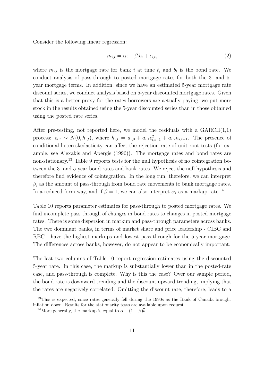Consider the following linear regression:

$$
m_{i,t} = \alpha_i + \beta_i b_t + \epsilon_{i,t},\tag{2}
$$

where  $m_{i,t}$  is the mortgage rate for bank i at time t, and  $b_t$  is the bond rate. We conduct analysis of pass-through to posted mortgage rates for both the 3- and 5 year mortgage terms. In addition, since we have an estimated 5-year mortgage rate discount series, we conduct analysis based on 5-year discounted mortgage rates. Given that this is a better proxy for the rates borrowers are actually paying, we put more stock in the results obtained using the 5-year discounted series than in those obtained using the posted rate series.

After pre-testing, not reported here, we model the residuals with a  $GARCH(1,1)$ process:  $\epsilon_{i,t} \sim N(0, h_{i,t})$ , where  $h_{i,t} = a_{i,0} + a_{i,1} \epsilon_{i,t-1}^2 + a_{i,2} h_{i,t-1}$ . The presence of conditional heteroskedasticity can affect the rejection rate of unit root tests (for example, see Alexakis and Apergis (1996)). The mortgage rates and bond rates are non-stationary.<sup>13</sup> Table 9 reports tests for the null hypothesis of no cointegration between the 3- and 5-year bond rates and bank rates. We reject the null hypothesis and therefore find evidence of cointegration. In the long run, therefore, we can interpret  $\beta_i$  as the amount of pass-through from bond rate movements to bank mortgage rates. In a reduced-form way, and if  $\beta = 1$ , we can also interpret  $\alpha_i$  as a markup rate.<sup>14</sup>

Table 10 reports parameter estimates for pass-through to posted mortgage rates. We find incomplete pass-through of changes in bond rates to changes in posted mortgage rates. There is some dispersion in markup and pass-through parameters across banks. The two dominant banks, in terms of market share and price leadership - CIBC and RBC - have the highest markups and lowest pass-through for the 5-year mortgage. The differences across banks, however, do not appear to be economically important.

The last two columns of Table 10 report regression estimates using the discounted 5-year rate. In this case, the markup is substantially lower than in the posted-rate case, and pass-through is complete. Why is this the case? Over our sample period, the bond rate is downward trending and the discount upward trending, implying that the rates are negatively correlated. Omitting the discount rate, therefore, leads to a

<sup>&</sup>lt;sup>13</sup>This is expected, since rates generally fell during the 1990s as the Bank of Canada brought inflation down. Results for the stationarity tests are available upon request.

<sup>&</sup>lt;sup>14</sup>More generally, the markup is equal to  $\alpha - (1 - \beta)\overline{b}$ .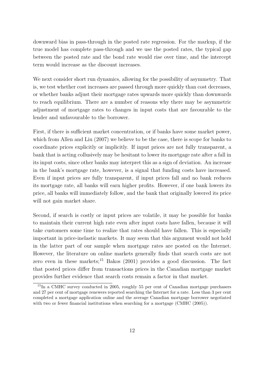downward bias in pass-through in the posted rate regression. For the markup, if the true model has complete pass-through and we use the posted rates, the typical gap between the posted rate and the bond rate would rise over time, and the intercept term would increase as the discount increases.

We next consider short run dynamics, allowing for the possibility of asymmetry. That is, we test whether cost increases are passed through more quickly than cost decreases, or whether banks adjust their mortgage rates upwards more quickly than downwards to reach equilibrium. There are a number of reasons why there may be asymmetric adjustment of mortgage rates to changes in input costs that are favourable to the lender and unfavourable to the borrower.

First, if there is sufficient market concentration, or if banks have some market power, which from Allen and Liu (2007) we believe to be the case, there is scope for banks to coordinate prices explicitly or implicitly. If input prices are not fully transparent, a bank that is acting collusively may be hesitant to lower its mortgage rate after a fall in its input costs, since other banks may interpret this as a sign of deviation. An increase in the bank's mortgage rate, however, is a signal that funding costs have increased. Even if input prices are fully transparent, if input prices fall and no bank reduces its mortgage rate, all banks will earn higher profits. However, if one bank lowers its price, all banks will immediately follow, and the bank that originally lowered its price will not gain market share.

Second, if search is costly or input prices are volatile, it may be possible for banks to maintain their current high rate even after input costs have fallen, because it will take customers some time to realize that rates should have fallen. This is especially important in price-inelastic markets. It may seem that this argument would not hold in the latter part of our sample when mortgage rates are posted on the Internet. However, the literature on online markets generally finds that search costs are not zero even in these markets;<sup>15</sup> Bakos  $(2001)$  provides a good discussion. The fact that posted prices differ from transactions prices in the Canadian mortgage market provides further evidence that search costs remain a factor in that market.

<sup>15</sup>In a CMHC survey conducted in 2005, roughly 55 per cent of Canadian mortgage purchasers and 27 per cent of mortgage renewers reported searching the Internet for a rate. Less than 3 per cent completed a mortgage application online and the average Canadian mortgage borrower negotiated with two or fewer financial institutions when searching for a mortgage (CMHC (2005)).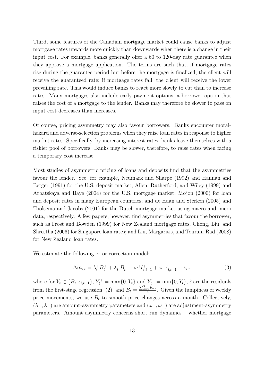Third, some features of the Canadian mortgage market could cause banks to adjust mortgage rates upwards more quickly than downwards when there is a change in their input cost. For example, banks generally offer a 60 to 120-day rate guarantee when they approve a mortgage application. The terms are such that, if mortgage rates rise during the guarantee period but before the mortgage is finalized, the client will receive the guaranteed rate; if mortgage rates fall, the client will receive the lower prevailing rate. This would induce banks to react more slowly to cut than to increase rates. Many mortgages also include early payment options, a borrower option that raises the cost of a mortgage to the lender. Banks may therefore be slower to pass on input cost decreases than increases.

Of course, pricing asymmetry may also favour borrowers. Banks encounter moralhazard and adverse-selection problems when they raise loan rates in response to higher market rates. Specifically, by increasing interest rates, banks leave themselves with a riskier pool of borrowers. Banks may be slower, therefore, to raise rates when facing a temporary cost increase.

Most studies of asymmetric pricing of loans and deposits find that the asymmetries favour the lender. See, for example, Neumark and Sharpe (1992) and Hannan and Berger (1991) for the U.S. deposit market; Allen, Rutherford, and Wiley (1999) and Arbatskaya and Baye (2004) for the U.S. mortgage market; Mojon (2000) for loan and deposit rates in many European countries; and de Haan and Sterken (2005) and Toolsema and Jacobs (2001) for the Dutch mortgage market using macro and micro data, respectively. A few papers, however, find asymmetries that favour the borrower, such as Frost and Bowden (1999) for New Zealand mortgage rates; Chong, Liu, and Shrestha (2006) for Singapore loan rates; and Liu, Margaritis, and Tourani-Rad (2008) for New Zealand loan rates.

We estimate the following error-correction model:

$$
\Delta m_{i,t} = \lambda_i^+ B_t^+ + \lambda_i^- B_t^- + \omega^+ \hat{\epsilon}_{i,t-1}^+ + \omega^- \hat{\epsilon}_{i,t-1}^- + \nu_{i,t},\tag{3}
$$

where for  $Y_t \in \{B_t, \epsilon_{i,t-1}\}, Y_t^+ = \max\{0, Y_t\}$  and  $Y_t^- = \min\{0, Y_t\}, \hat{\epsilon}$  are the residuals from the first-stage regression, (2), and  $B_t =$  $\sum_{s=0}^{3} b_{-s}$  $\frac{10^{b-s}}{4}$ . Given the lumpiness of weekly price movements, we use  $B_t$  to smooth price changes across a month. Collectively,  $(\lambda^+, \lambda^-)$  are amount-asymmetry parameters and  $(\omega^+, \omega^-)$  are adjustment-asymmetry parameters. Amount asymmetry concerns short run dynamics – whether mortgage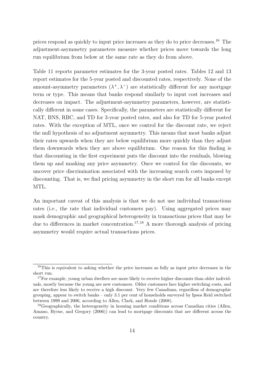prices respond as quickly to input price increases as they do to price decreases.<sup>16</sup> The adjustment-asymmetry parameters measure whether prices move towards the long run equilibrium from below at the same rate as they do from above.

Table 11 reports parameter estimates for the 3-year posted rates. Tables 12 and 13 report estimates for the 5-year posted and discounted rates, respectively. None of the amount-asymmetry parameters  $(\lambda^+, \lambda^-)$  are statistically different for any mortgage term or type. This means that banks respond similarly to input cost increases and decreases on impact. The adjustment-asymmetry parameters, however, are statistically different in some cases. Specifically, the parameters are statistically different for NAT, BNS, RBC, and TD for 3-year posted rates, and also for TD for 5-year posted rates. With the exception of MTL, once we control for the discount rate, we reject the null hypothesis of no adjustment asymmetry. This means that most banks adjust their rates upwards when they are below equilibrium more quickly than they adjust them downwards when they are above equilibrium. One reason for this finding is that discounting in the first experiment puts the discount into the residuals, blowing them up and masking any price asymmetry. Once we control for the discounts, we uncover price discrimination associated with the increasing search costs imposed by discounting. That is, we find pricing asymmetry in the short run for all banks except MTL.

An important caveat of this analysis is that we do not use individual transactions rates (i.e., the rate that individual customers pay). Using aggregated prices may mask demographic and geographical heterogeneity in transactions prices that may be due to differences in market concentration.<sup>17,18</sup> A more thorough analysis of pricing asymmetry would require actual transactions prices.

<sup>&</sup>lt;sup>16</sup>This is equivalent to asking whether the price increases as fully as input price decreases in the short run.

<sup>&</sup>lt;sup>17</sup>For example, young urban dwellers are more likely to receive higher discounts than older individuals, mostly because the young are new customers. Older customers face higher switching costs, and are therefore less likely to receive a high discount. Very few Canadians, regardless of demographic grouping, appear to switch banks – only 3.1 per cent of households surveyed by Ipsos Reid switched between 1999 and 2006, according to Allen, Clark, and Houde (2008).

<sup>&</sup>lt;sup>18</sup>Geographically, the heterogeneity in housing market conditions across Canadian cities (Allen, Amano, Byrne, and Gregory (2006)) can lead to mortgage discounts that are different across the country.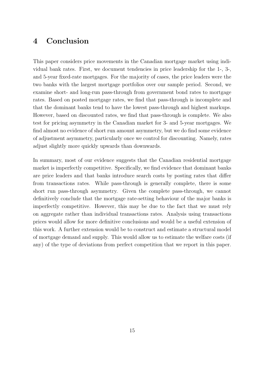## 4 Conclusion

This paper considers price movements in the Canadian mortgage market using individual bank rates. First, we document tendencies in price leadership for the 1-, 3-, and 5-year fixed-rate mortgages. For the majority of cases, the price leaders were the two banks with the largest mortgage portfolios over our sample period. Second, we examine short- and long-run pass-through from government bond rates to mortgage rates. Based on posted mortgage rates, we find that pass-through is incomplete and that the dominant banks tend to have the lowest pass-through and highest markups. However, based on discounted rates, we find that pass-through is complete. We also test for pricing asymmetry in the Canadian market for 3- and 5-year mortgages. We find almost no evidence of short run amount asymmetry, but we do find some evidence of adjustment asymmetry, particularly once we control for discounting. Namely, rates adjust slightly more quickly upwards than downwards.

In summary, most of our evidence suggests that the Canadian residential mortgage market is imperfectly competitive. Specifically, we find evidence that dominant banks are price leaders and that banks introduce search costs by posting rates that differ from transactions rates. While pass-through is generally complete, there is some short run pass-through asymmetry. Given the complete pass-through, we cannot definitively conclude that the mortgage rate-setting behaviour of the major banks is imperfectly competitive. However, this may be due to the fact that we must rely on aggregate rather than individual transactions rates. Analysis using transactions prices would allow for more definitive conclusions and would be a useful extension of this work. A further extension would be to construct and estimate a structural model of mortgage demand and supply. This would allow us to estimate the welfare costs (if any) of the type of deviations from perfect competition that we report in this paper.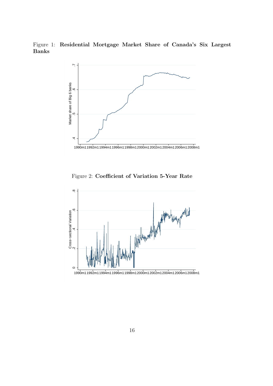Figure 1: Residential Mortgage Market Share of Canada's Six Largest Banks



Figure 2: Coefficient of Variation 5-Year Rate

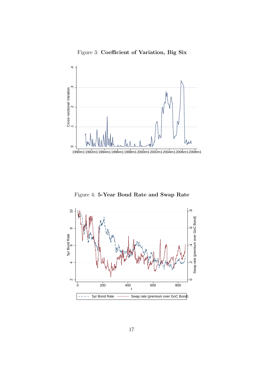



Figure 4: 5-Year Bond Rate and Swap Rate

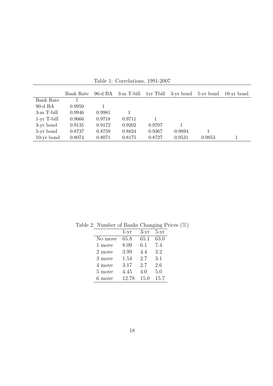|                   | Bank Rate | 90-d BA | 3-m T-bill |        | 1yr Tbill 3-yr bond | 5-yr bond | $10$ -yr bond |
|-------------------|-----------|---------|------------|--------|---------------------|-----------|---------------|
| Bank Rate         |           |         |            |        |                     |           |               |
| $90-d$ BA         | 0.9950    |         |            |        |                     |           |               |
| 3-m T-bill        | 0.9946    | 0.9981  |            |        |                     |           |               |
| $1$ -yr $T$ -bill | 0.9666    | 0.9718  | 0.9711     |        |                     |           |               |
| 3-yr bond         | 0.9135    | 0.9172  | 0.9202     | 0.9707 |                     |           |               |
| 5-yr bond         | 0.8737    | 0.8759  | 0.8824     | 0.9367 | 0.9894              |           |               |
| $10-yr$ bond      | 0.8074    | 0.8071  | 0.8175     | 0.8727 | 0.9531              | 0.9853    |               |

Table 1: Correlations, 1991-2007

Table 2: Number of Banks Changing Prices (%)

|         | $1-yr$ | $3-yr$ | 5-yr |
|---------|--------|--------|------|
| No move | 65.8   | 65.1   | 63.0 |
| 1 move  | 8.09   | 6.1    | 7.4  |
| 2 move  | 3.99   | 4.4    | 3.2  |
| 3 move  | 1.54   | 2.7    | 3.1  |
| 4 move  | 3.17   | 2.7    | 2.6  |
| 5 move  | 4.45   | 4.0    | 5.0  |
| 6 move  | 12.78  | 15.0   | 15.7 |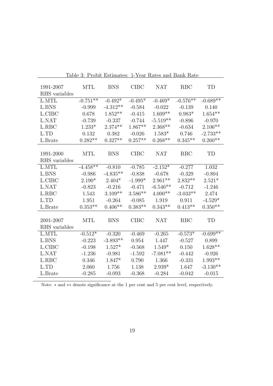| 1991-2007<br>RHS variables | <b>MTL</b> | <b>BNS</b> | <b>CIBC</b> | <b>NAT</b> | <b>RBC</b> | TD         |
|----------------------------|------------|------------|-------------|------------|------------|------------|
| L.MTL                      | $-0.751**$ | $-0.492*$  | $-0.495*$   | $-0.469*$  | $-0.576**$ | $-0.689**$ |
| L.BNS                      | $-0.999$   | $-4.312**$ | $-0.584$    | $-0.022$   | $-0.139$   | 0.140      |
| L.CIBC                     | 0.678      | $1.852**$  | $-0.415$    | $1.609**$  | $0.983*$   | $1.654**$  |
| L.NAT                      | $-0.739$   | $-0.337$   | $-0.744$    | $-5.519**$ | $-0.896$   | $-0.970$   |
| L.RBC                      | $1.233*$   | $2.374**$  | $1.867**$   | $2.368**$  | $-0.634$   | $2.106**$  |
| L.TD                       | 0.132      | 0.382      | $-0.026$    | $1.583*$   | 0.746      | $-2.733**$ |
| L.Brate                    | $0.282**$  | $0.327**$  | $0.257**$   | $0.268**$  | $0.345**$  | $0.260**$  |
| 1991-2000<br>RHS variables | <b>MTL</b> | <b>BNS</b> | <b>CIBC</b> | <b>NAT</b> | <b>RBC</b> | TD         |
| L.MTL                      | $-4.458**$ | $-0.810$   | $-0.785$    | $-2.152*$  | $-0.277$   | 1.032      |
| L.BNS                      | $-0.986$   | $-4.835**$ | $-0.838$    | $-0.678$   | $-0.329$   | $-0.804$   |
| L.CIBC                     | $2.190*$   | $2.404*$   | $-1.999*$   | $2.961**$  | $2.832**$  | $2.521*$   |
| L.NAT                      | $-0.823$   | $-0.216$   | $-0.471$    | $-6.546**$ | $-0.712$   | $-1.246$   |
| L.RBC                      | 1.543      | $3.109**$  | $3.586**$   | $4.000**$  | $-3.033**$ | 2.474      |
| L.TD                       | 1.951      | $-0.264$   | $-0.085$    | 1.919      | 0.911      | $-4.529*$  |
| L.Brate                    | $0.353**$  | $0.406**$  | $0.383**$   | $0.343**$  | $0.413**$  | $0.350**$  |
| 2001-2007<br>RHS variables | <b>MTL</b> | <b>BNS</b> | <b>CIBC</b> | <b>NAT</b> | <b>RBC</b> | TD         |
| L.MTL                      | $-0.512*$  | $-0.320$   | $-0.469$    | $-0.265$   | $-0.573*$  | $-0.699**$ |
| L.BNS                      | $-0.223$   | $-3.893**$ | 0.954       | 1.447      | $-0.527$   | 0.899      |
| L.CIBC                     | $-0.198$   | $1.527*$   | $-0.568$    | $1.549*$   | 0.150      | $1.628**$  |
| L.NAT                      | $-1.236$   | $-0.981$   | $-1.592$    | $-7.081**$ | $-0.442$   | $-0.926$   |
| L.RBC                      | 0.346      | $1.847*$   | 0.790       | 1.366      | $-0.331$   | $1.993**$  |
| L.TD                       | 2.060      | 1.756      | 1.138       | $2.939*$   | 1.647      | $-3.130**$ |
| L.Brate                    | $-0.285$   | $-0.093$   | $-0.368$    | $-0.284$   | $-0.042$   | $-0.015$   |

Table 3: Probit Estimates: 1-Year Rates and Bank Rate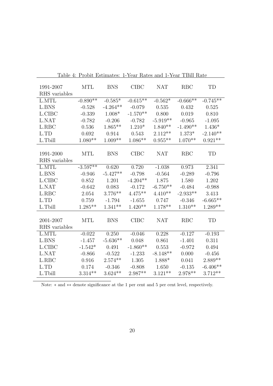| 1991-2007<br>RHS variables | <b>MTL</b> | <b>BNS</b> | <b>CIBC</b> | <b>NAT</b> | <b>RBC</b> | TD         |
|----------------------------|------------|------------|-------------|------------|------------|------------|
| L.MTL                      | $-0.890**$ | $-0.585*$  | $-0.615**$  | $-0.562*$  | $-0.666**$ | $-0.745**$ |
| L.BNS                      | $-0.528$   | $-4.264**$ | $-0.079$    | 0.535      | 0.432      | 0.525      |
| L.CIBC                     | $-0.339$   | $1.008*$   | $-1.570**$  | 0.800      | 0.019      | 0.810      |
| L.NAT                      | $-0.782$   | $-0.206$   | $-0.782$    | $-5.919**$ | $-0.965$   | $-1.095$   |
| L.RBC                      | 0.536      | $1.865**$  | $1.210*$    | $1.840**$  | $-1.490**$ | $1.436*$   |
| L.TD                       | 0.692      | 0.914      | 0.543       | $2.112**$  | $1.373*$   | $-2.140**$ |
| L.Tbill                    | $1.080**$  | $1.009**$  | $1.086**$   | $0.955**$  | $1.070**$  | $0.921**$  |
| 1991-2000<br>RHS variables | <b>MTL</b> | <b>BNS</b> | <b>CIBC</b> | <b>NAT</b> | <b>RBC</b> | TD         |
| L.MTL                      | $-3.597**$ | 0.620      | 0.720       | $-1.038$   | 0.973      | 2.341      |
| L.BNS                      | $-0.946$   | $-5.427**$ | $-0.798$    | $-0.564$   | $-0.289$   | $-0.796$   |
| L.CIBC                     | 0.852      | 1.201      | $-4.204**$  | 1.875      | 1.580      | 1.202      |
| L.NAT                      | $-0.642$   | 0.083      | $-0.172$    | $-6.750**$ | $-0.484$   | $-0.988$   |
| L.RBC                      | 2.054      | $3.776**$  | $4.475**$   | $4.410**$  | $-2.933**$ | 3.413      |
| L.TD                       | 0.759      | $-1.794$   | $-1.655$    | 0.747      | $-0.346$   | $-6.665**$ |
| L.Tbill                    | $1.285**$  | $1.341**$  | $1.420**$   | $1.178**$  | $1.310**$  | $1.289**$  |
| 2001-2007<br>RHS variables | <b>MTL</b> | <b>BNS</b> | <b>CIBC</b> | <b>NAT</b> | <b>RBC</b> | TD         |
| L.MTL                      | $-0.022$   | 0.250      | $-0.046$    | 0.228      | $-0.127$   | $-0.193$   |
| L.BNS                      | $-1.457$   | $-5.636**$ | 0.048       | 0.861      | $-1.401$   | 0.311      |
| L.CIBC                     | $-1.542*$  | 0.491      | $-1.860**$  | 0.553      | $-0.972$   | 0.494      |
| L.NAT                      | $-0.866$   | $-0.522$   | $-1.233$    | $-8.148**$ | 0.000      | $-0.456$   |
| L.RBC                      | 0.916      | $2.574**$  | 1.305       | 1.888*     | 0.041      | $2.889**$  |
| L.TD                       | 0.174      | $-0.346$   | $-0.808$    | 1.650      | $-0.135$   | $-6.406**$ |
| L.Tbill                    | $3.314**$  | $3.624**$  | $2.987**$   | $3.121**$  | 2.978**    | $3.712**$  |

Table 4: Probit Estimates: 1-Year Rates and 1-Year TBill Rate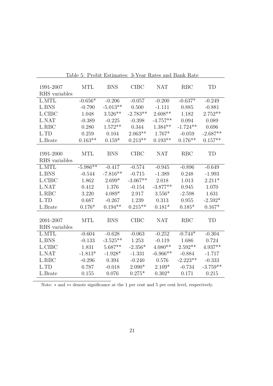| 1991-2007     | <b>MTL</b> | <b>BNS</b> | <b>CIBC</b> | <b>NAT</b> | <b>RBC</b> | TD         |
|---------------|------------|------------|-------------|------------|------------|------------|
| RHS variables |            |            |             |            |            |            |
| L.MTL         | $-0.656*$  | $-0.206$   | $-0.057$    | $-0.200$   | $-0.637*$  | $-0.249$   |
| L.BNS         | $-0.790$   | $-5.013**$ | 0.500       | $-1.111$   | 0.885      | $-0.881$   |
| L.CIBC        | 1.048      | $3.526**$  | $-2.783**$  | $2.608**$  | 1.182      | $2.752**$  |
| L.NAT         | $-0.389$   | $-0.225$   | $-0.398$    | $-4.757**$ | 0.094      | 0.089      |
| L.RBC         | 0.280      | $1.572**$  | 0.344       | $1.384**$  | $-1.724**$ | 0.696      |
| L.TD          | 0.259      | 0.104      | $2.063**$   | $1.767*$   | $-0.059$   | $-2.687**$ |
| L.Brate       | $0.163**$  | $0.159*$   | $0.213**$   | $0.193**$  | $0.176**$  | $0.157**$  |
|               |            |            |             |            |            |            |
| 1991-2000     | <b>MTL</b> | <b>BNS</b> | <b>CIBC</b> | <b>NAT</b> | <b>RBC</b> | TD         |
| RHS variables |            |            |             |            |            |            |
| L.MTL         | $-5.986**$ | $-0.417$   | $-0.574$    | $-0.945$   | $-0.896$   | $-0.649$   |
| L.BNS         | $-0.544$   | $-7.816**$ | $-0.715$    | $-1.389$   | 0.248      | $-1.993$   |
| L.CIBC        | 1.862      | $2.699*$   | $-3.067**$  | 2.018      | 1.013      | $2.211*$   |
| L.NAT         | 0.412      | 1.376      | $-0.154$    | $-3.877**$ | 0.945      | 1.070      |
| L.RBC         | 3.220      | $4.089*$   | 2.917       | $3.556*$   | $-2.598$   | 1.631      |
| L.TD          | 0.687      | $-0.267$   | 1.239       | 0.313      | 0.955      | $-2.592*$  |
| L.Brate       | $0.176*$   | $0.194**$  | $0.215**$   | $0.181*$   | $0.185*$   | $0.167*$   |
|               |            |            |             |            |            |            |
| 2001-2007     | <b>MTL</b> | <b>BNS</b> | <b>CIBC</b> | <b>NAT</b> | <b>RBC</b> | TD         |
| RHS variables |            |            |             |            |            |            |
| L.MTL         | $-0.604$   | $-0.628$   | $-0.063$    | $-0.252$   | $-0.744*$  | $-0.304$   |
| L.BNS         | $-0.133$   | $-3.525**$ | 1.253       | $-0.119$   | 1.686      | 0.724      |
| L.CIBC        | 1.831      | $5.687**$  | $-2.356*$   | $4.080**$  | $2.592**$  | $4.937**$  |
| L.NAT         | $-1.813*$  | $-1.928*$  | $-1.331$    | $-6.966**$ | $-0.884$   | $-1.717$   |
| L.RBC         | $-0.296$   | 0.394      | $-0.240$    | 0.576      | $-2.223**$ | $-0.333$   |
| L.TD          | 0.787      | $-0.018$   | $2.090*$    | $2.109*$   | $-0.734$   | $-3.759**$ |
| L.Brate       | 0.155      | 0.076      | $0.275*$    | $0.302*$   | 0.171      | 0.215      |

Table 5: Probit Estimates: 3-Year Rates and Bank Rate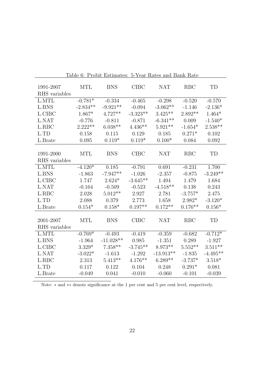| 1991-2007     | <b>MTL</b> | <b>BNS</b>  | <b>CIBC</b> | <b>NAT</b>  | <b>RBC</b> | <b>TD</b>  |
|---------------|------------|-------------|-------------|-------------|------------|------------|
| RHS variables |            |             |             |             |            |            |
| <b>L.MTL</b>  | $-0.781*$  | $-0.334$    | $-0.465$    | $-0.298$    | $-0.520$   | $-0.570$   |
| <b>L.BNS</b>  | $-2.834**$ | $-9.921**$  | $-0.094$    | $-3.062**$  | $-1.146$   | $-2.136*$  |
| L.CIBC        | 1.867*     | $4.727**$   | $-3.323**$  | $3.425**$   | $2.892**$  | $1.464*$   |
| L.NAT         | $-0.776$   | $-0.811$    | $-0.871$    | $-6.341**$  | 0.009      | $-1.540*$  |
| L.RBC         | $2.222**$  | $6.038**$   | $4.436**$   | $5.921**$   | $-1.654*$  | $2.538**$  |
| L.TD          | 0.158      | 0.115       | 0.129       | 0.185       | $0.271*$   | 0.102      |
| L.Brate       | 0.095      | $0.119*$    | $0.119*$    | $0.100*$    | 0.084      | 0.092      |
|               |            |             |             |             |            |            |
| 1991-2000     | <b>MTL</b> | <b>BNS</b>  | <b>CIBC</b> | <b>NAT</b>  | <b>RBC</b> | <b>TD</b>  |
| RHS variables |            |             |             |             |            |            |
| L.MTL         | $-4.120*$  | 0.185       | $-0.791$    | 0.691       | $-0.231$   | 1.700      |
| L.BNS         | $-1.863$   | $-7.947**$  | $-1.026$    | $-2.357$    | $-0.875$   | $-3.249**$ |
| L.CIBC        | 1.747      | $2.624*$    | $-3.645**$  | 1.494       | 1.479      | 1.684      |
| L.NAT         | $-0.164$   | $-0.509$    | $-0.523$    | $-4.518**$  | 0.138      | 0.243      |
| L.RBC         | 2.028      | $5.012**$   | 2.927       | 2.781       | $-3.757*$  | 2.475      |
| L.TD          | 2.088      | 0.379       | 2.773       | 1.658       | $2.982*$   | $-3.120*$  |
| L.Brate       | $0.154*$   | $0.158*$    | $0.197**$   | $0.172**$   | $0.176**$  | $0.156*$   |
|               |            |             |             |             |            |            |
| 2001-2007     | <b>MTL</b> | <b>BNS</b>  | <b>CIBC</b> | <b>NAT</b>  | <b>RBC</b> | TD         |
| RHS variables |            |             |             |             |            |            |
| L.MTL         | $-0.769*$  | $-0.493$    | $-0.419$    | $-0.359$    | $-0.682$   | $-0.712*$  |
| L.BNS         | $-1.964$   | $-11.028**$ | 0.985       | $-1.351$    | 0.289      | $-1.927$   |
| L.CIBC        | $3.329*$   | $7.358**$   | $-3.745**$  | $8.973**$   | $5.552**$  | $3.511**$  |
| L.NAT         | $-3.022*$  | $-1.613$    | $-1.292$    | $-13.913**$ | $-1.835$   | $-4.495**$ |
| L.RBC         | 2.313      | $5.413**$   | $4.176**$   | $6.289**$   | $-3.737*$  | $3.518*$   |
| L.TD          | 0.117      | 0.122       | 0.104       | 0.248       | $0.291*$   | 0.081      |
| L.Brate       | $-0.049$   | 0.041       | $-0.010$    | $-0.060$    | $-0.101$   | $-0.039$   |

Table 6: Probit Estimates: 5-Year Rates and Bank Rate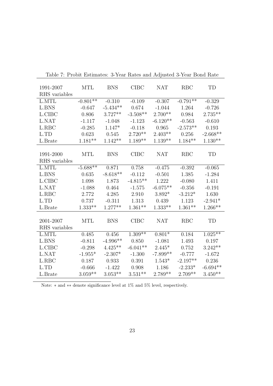| 1991-2007     | <b>MTL</b> | <b>BNS</b> | $C\text{IBC}$ | <b>NAT</b> | <b>RBC</b> | TD         |
|---------------|------------|------------|---------------|------------|------------|------------|
| RHS variables |            |            |               |            |            |            |
| L.MTL         | $-0.801**$ | $-0.310$   | $-0.109$      | $-0.307$   | $-0.791**$ | $-0.329$   |
| L.BNS         | $-0.647$   | $-5.434**$ | 0.674         | $-1.044$   | 1.264      | $-0.726$   |
| L.CIBC        | 0.806      | $3.727**$  | $-3.508**$    | $2.700**$  | 0.984      | $2.735**$  |
| L.NAT         | $-1.117$   | $-1.048$   | $-1.123$      | $-6.120**$ | $-0.563$   | $-0.610$   |
| L.RBC         | $-0.285$   | $1.147*$   | $-0.118$      | 0.965      | $-2.573**$ | 0.193      |
| L.TD          | 0.623      | 0.545      | $2.720**$     | $2.403**$  | 0.256      | $-2.668**$ |
| L.Brate       | $1.181**$  | $1.142**$  | $1.189**$     | $1.139**$  | $1.184**$  | $1.130**$  |
|               |            |            |               |            |            |            |
| 1991-2000     | <b>MTL</b> | <b>BNS</b> | $C\text{IBC}$ | <b>NAT</b> | <b>RBC</b> | TD         |
| RHS variables |            |            |               |            |            |            |
| L.MTL         | $-5.688**$ | 0.871      | 0.758         | $-0.475$   | $-0.392$   | $-0.065$   |
| L.BNS         | 0.635      | $-8.618**$ | $-0.112$      | $-0.501$   | 1.385      | $-1.284$   |
| L.CIBC        | 1.098      | 1.873      | $-4.815**$    | 1.222      | $-0.080$   | 1.411      |
| L.NAT         | $-1.088$   | 0.464      | $-1.575$      | $-6.075**$ | $-0.356$   | $-0.191$   |
| L.RBC         | 2.772      | 4.285      | 2.910         | $3.892*$   | $-3.212*$  | 1.630      |
| L.TD          | 0.737      | $-0.311$   | 1.313         | 0.439      | 1.123      | $-2.941*$  |
| L.Brate       | $1.333**$  | $1.277**$  | $1.361**$     | $1.333**$  | $1.361**$  | $1.266**$  |
|               |            |            |               |            |            |            |
| 2001-2007     | <b>MTL</b> | <b>BNS</b> | <b>CIBC</b>   | <b>NAT</b> | RBC        | TD         |
| RHS variables |            |            |               |            |            |            |
| L.MTL         | 0.485      | 0.456      | $1.309**$     | $0.801*$   | 0.184      | $1.025**$  |
| L.BNS         | $-0.811$   | $-4.996**$ | 0.850         | $-1.081$   | 1.493      | 0.197      |
| L.CIBC        | $-0.298$   | $4.425**$  | $-6.041**$    | $2.445*$   | 0.752      | $3.242**$  |
| L.NAT         | $-1.955*$  | $-2.307*$  | $-1.300$      | $-7.899**$ | $-0.777$   | $-1.672$   |
| L.RBC         | 0.187      | 0.933      | 0.391         | $1.543*$   | $-2.197**$ | 0.236      |
| L.TD          | $-0.666$   | $-1.422$   | 0.908         | 1.186      | $-2.233*$  | $-6.694**$ |
| L.Brate       | $3.059**$  | $3.053**$  | $3.531**$     | $2.789**$  | $2.709**$  | $3.450**$  |

Table 7: Probit Estimates: 3-Year Rates and Adjusted 3-Year Bond Rate

Note: ∗ and ∗∗ denote significance level at 1% and 5% level, respectively.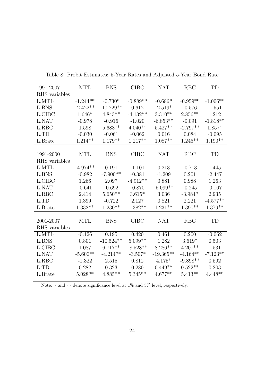| 1991-2007<br>RHS variables | <b>MTL</b> | <b>BNS</b>  | <b>CIBC</b> | <b>NAT</b>  | <b>RBC</b> | <b>TD</b>  |
|----------------------------|------------|-------------|-------------|-------------|------------|------------|
| L.MTL                      | $-1.244**$ | $-0.730*$   |             |             |            |            |
|                            |            |             | $-0.889**$  | $-0.686*$   | $-0.959**$ | $-1.006**$ |
| L.BNS                      | $-2.422**$ | $-10.229**$ | 0.612       | $-2.519*$   | $-0.576$   | $-1.551$   |
| L.CIBC                     | $1.646*$   | $4.843**$   | $-4.132**$  | $3.310**$   | $2.856**$  | 1.212      |
| L.NAT                      | $-0.978$   | $-0.916$    | $-1.020$    | $-6.853**$  | $-0.091$   | $-1.818**$ |
| L.RBC                      | 1.598      | $5.688**$   | $4.040**$   | $5.427**$   | $-2.797**$ | $1.857*$   |
| L.TD                       | $-0.030$   | $-0.061$    | $-0.062$    | 0.016       | 0.084      | $-0.095$   |
| L.Brate                    | $1.214**$  | $1.179**$   | $1.217**$   | $1.087**$   | $1.245**$  | $1.190**$  |
|                            |            |             |             |             |            |            |
| 1991-2000                  | <b>MTL</b> | <b>BNS</b>  | <b>CIBC</b> | <b>NAT</b>  | <b>RBC</b> | <b>TD</b>  |
| RHS variables              |            |             |             |             |            |            |
| L.MTL                      | $-4.974**$ | 0.191       | $-1.101$    | 0.213       | $-0.713$   | 1.445      |
| L.BNS                      | $-0.982$   | $-7.900**$  | $-0.381$    | $-1.209$    | 0.201      | $-2.447$   |
| L.CIBC                     | 1.266      | 2.097       | $-4.912**$  | 0.881       | 0.988      | 1.263      |
| L.NAT                      | $-0.641$   | $-0.692$    | $-0.870$    | $-5.099**$  | $-0.245$   | $-0.167$   |
| L.RBC                      | 2.414      | $5.650**$   | $3.615*$    | 3.036       | $-3.984*$  | 2.935      |
| L.TD                       | 1.399      | $-0.722$    | 2.127       | 0.821       | 2.221      | $-4.577**$ |
| L.Brate                    | $1.332**$  | $1.230**$   | $1.382**$   | $1.231**$   | $1.390**$  | $1.379**$  |
|                            |            |             |             |             |            |            |
| 2001-2007                  | <b>MTL</b> | <b>BNS</b>  | <b>CIBC</b> | <b>NAT</b>  | <b>RBC</b> | <b>TD</b>  |
| RHS variables              |            |             |             |             |            |            |
| L.MTL                      | $-0.126$   | 0.195       | 0.420       | 0.461       | 0.200      | $-0.062$   |
| L.BNS                      | 0.801      | $-10.524**$ | $5.099**$   | 1.282       | $3.619*$   | 0.503      |
| L.CIBC                     | 1.087      | $6.717**$   | $-8.528**$  | $8.286**$   | $4.207**$  | 1.531      |
| L.NAT                      | $-5.600**$ | $-4.214**$  | $-3.507*$   | $-19.365**$ | $-4.164**$ | $-7.123**$ |
| L.RBC                      | $-1.322$   | 2.515       | 0.812       | $4.175*$    | $-9.898**$ | 0.592      |
| L.TD                       | 0.282      | 0.323       | 0.280       | $0.449**$   | $0.522**$  | 0.203      |
| L.Brate                    | $5.028**$  | $4.885**$   | $5.345**$   | $4.677**$   | $5.413**$  | $4.448**$  |
|                            |            |             |             |             |            |            |

Table 8: Probit Estimates: 5-Year Rates and Adjusted 5-Year Bond Rate

Note: ∗ and ∗∗ denote significance level at 1% and 5% level, respectively.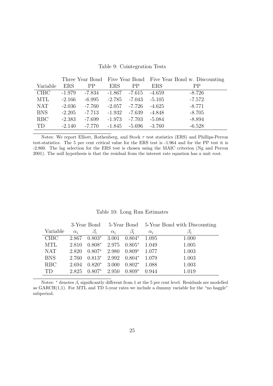|  | Table 9: Cointegration Tests |  |
|--|------------------------------|--|
|--|------------------------------|--|

|             |            |          |            |           |            | Three Year Bond Five Year Bond Five Year Bond w. Discounting |
|-------------|------------|----------|------------|-----------|------------|--------------------------------------------------------------|
| Variable    | <b>ERS</b> | PP       | <b>ERS</b> | <b>PP</b> | <b>ERS</b> | <b>PP</b>                                                    |
| <b>CIBC</b> | $-1.979$   | $-7.834$ | $-1.867$   | -7.615    | $-4.659$   | $-8.726$                                                     |
| <b>MTL</b>  | $-2.166$   | $-6.995$ | $-2.785$   | -7.043    | $-5.105$   | $-7.572$                                                     |
| <b>NAT</b>  | $-2.036$   | $-7.760$ | $-2.057$   | -7.726    | $-4.625$   | $-8.771$                                                     |
| <b>BNS</b>  | $-2.205$   | $-7.713$ | $-1.932$   | -7.639    | $-4.848$   | $-8.705$                                                     |
| RBC         | $-2.383$   | $-7.699$ | $-1.973$   | $-7.703$  | $-5.084$   | $-8.894$                                                     |
| TD          | $-2.140$   | $-7.770$ | $-1.845$   | $-5.696$  | $-3.760$   | $-6.528$                                                     |

Notes: We report Elliott, Rothenberg, and Stock  $\tau$  test statistics (ERS) and Phillips-Perron test-statistics. The 5 per cent critical value for the ERS test is -1.964 and for the PP test it is -2.860. The lag selection for the ERS test is chosen using the MAIC criterion (Ng and Perron 2001). The null hypothesis is that the residual from the interest rate equation has a unit root.

|  |  |  | Table 10: Long Run Estimates |
|--|--|--|------------------------------|
|--|--|--|------------------------------|

|             |            |           |            |           |            | 3-Year Bond 5-Year Bond 5-Year Bond with Discounting |
|-------------|------------|-----------|------------|-----------|------------|------------------------------------------------------|
| Variable    | $\alpha_i$ | $\beta_i$ | $\alpha_i$ | $\beta_i$ | $\alpha_i$ | $\beta_i$                                            |
| <b>CIBC</b> | 2.867      | $0.803*$  | 3.001      | $0.804*$  | 1.095      | 1.000                                                |
| <b>MTL</b>  | 2.810      | $0.808*$  | 2.975      | $0.805*$  | 1.049      | 1.005                                                |
| <b>NAT</b>  | 2.820      | $0.807*$  | 2.980      | $0.809*$  | 1.077      | 1.003                                                |
| <b>BNS</b>  | 2.760      | $0.813*$  | 2.992      | $0.804*$  | 1.079      | 1.003                                                |
| RBC         | 2.694      | $0.820*$  | 3.000      | $0.802*$  | 1.088      | 1.003                                                |
| TD          | 2.825      | $0.807*$  | 2.950      | $0.809*$  | 0.944      | 1.019                                                |

Notes:  $*$  denotes  $\beta_i$  significantly different from 1 at the 5 per cent level. Residuals are modelled as  $GARCH(1,1)$ . For MTL and TD 5-year rates we include a dummy variable for the "no haggle" subperiod.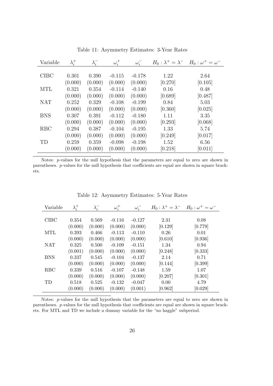| Variable    | $\lambda_i^+$ | $\lambda_i^-$ | $\omega_i^+$ | $\omega_i^-$ | $H_0: \lambda^+ = \lambda^-$ | $H_0$ : $\omega^+ = \omega^-$ |
|-------------|---------------|---------------|--------------|--------------|------------------------------|-------------------------------|
|             |               |               |              |              |                              |                               |
| <b>CIBC</b> | 0.301         | 0.390         | $-0.115$     | $-0.178$     | 1.22                         | 2.64                          |
|             | (0.000)       | (0.000)       | (0.000)      | (0.000)      | [0.270]                      | [0.105]                       |
| <b>MTL</b>  | 0.321         | 0.354         | $-0.114$     | $-0.140$     | 0.16                         | 0.48                          |
|             | (0.000)       | (0.000)       | (0.000)      | (0.000)      | [0.689]                      | [0.487]                       |
| <b>NAT</b>  | 0.252         | 0.329         | $-0.108$     | $-0.199$     | 0.84                         | 5.03                          |
|             | (0.000)       | (0.000)       | (0.000)      | (0.000)      | [0.360]                      | [0.025]                       |
| <b>BNS</b>  | 0.307         | 0.391         | $-0.112$     | $-0.180$     | 1.11                         | 3.35                          |
|             | (0.000)       | (0.000)       | (0.000)      | (0.000)      | [0.293]                      | [0.068]                       |
| <b>RBC</b>  | 0.294         | 0.387         | $-0.104$     | $-0.195$     | 1.33                         | 5.74                          |
|             | (0.000)       | (0.000)       | (0.000)      | (0.000)      | [0.249]                      | [0.017]                       |
| TD          | 0.259         | 0.359         | $-0.098$     | $-0.198$     | 1.52                         | 6.56                          |
|             | (0.000)       | (0.000)       | (0.000)      | (0.000)      | [0.218]                      | [0.011]                       |

Table 11: Asymmetry Estimates: 3-Year Rates

Notes: p-values for the null hypothesis that the parameters are equal to zero are shown in parentheses. p-values for the null hypothesis that coefficients are equal are shown in square brackets.

| Variable    | $\lambda_i^+$ | $\lambda_i^-$ | $\omega_i^+$ | $\omega_i^-$ | $H_0: \lambda^+ = \lambda^-$ | $H_0$ : $\omega^+ = \omega^-$ |
|-------------|---------------|---------------|--------------|--------------|------------------------------|-------------------------------|
|             |               |               |              |              |                              |                               |
| <b>CIBC</b> | 0.354         | 0.569         | $-0.116$     | $-0.127$     | 2.31                         | 0.08                          |
|             | (0.000)       | (0.000)       | (0.000)      | (0.000)      | [0.129]                      | [0.779]                       |
| MTL         | 0.393         | 0.466         | $-0.113$     | $-0.110$     | 0.26                         | 0.01                          |
|             | (0.000)       | (0.000)       | (0.000)      | (0.000)      | [0.610]                      | [0.936]                       |
| <b>NAT</b>  | 0.325         | 0.500         | $-0.109$     | $-0.151$     | 1.34                         | 0.94                          |
|             | (0.001)       | (0.000)       | (0.000)      | (0.000)      | [0.248]                      | [0.333]                       |
| <b>BNS</b>  | 0.337         | 0.545         | $-0.104$     | $-0.137$     | 2.14                         | 0.71                          |
|             | (0.000)       | (0.000)       | (0.000)      | (0.000)      | [0.144]                      | [0.399]                       |
| <b>RBC</b>  | 0.339         | 0.516         | $-0.107$     | $-0.148$     | 1.59                         | 1.07                          |
|             | (0.000)       | (0.000)       | (0.000)      | (0.000)      | [0.207]                      | [0.301]                       |
| TD          | 0.518         | 0.525         | $-0.132$     | $-0.047$     | 0.00                         | 4.79                          |
|             | (0.000)       | (0.000)       | (0.000)      | (0.001)      | [0.962]                      | [0.029]                       |

Table 12: Asymmetry Estimates: 5-Year Rates

Notes: p-values for the null hypothesis that the parameters are equal to zero are shown in parentheses. p-values for the null hypothesis that coefficients are equal are shown in square brackets. For MTL and TD we include a dummy variable for the "no haggle" subperiod.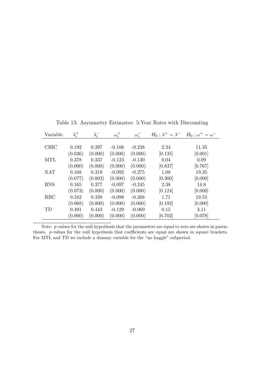| Variable      | $\lambda_i^+$ | $\lambda_i^-$ | $\omega_i^+$ | $\omega_i^-$ | $H_0$ : $\lambda^+ = \lambda^-$ | $H_0$ : $\omega^+ = \omega^-$ |
|---------------|---------------|---------------|--------------|--------------|---------------------------------|-------------------------------|
|               |               |               |              |              |                                 |                               |
| $C\text{IBC}$ | 0.192         | 0.397         | $-0.106$     | $-0.238$     | 2.34                            | 11.35                         |
|               | (0.036)       | (0.000)       | (0.000)      | (0.000)      | [0.135]                         | [0.001]                       |
| <b>MTL</b>    | 0.378         | 0.337         | $-0.123$     | $-0.130$     | 0.04                            | 0.09                          |
|               | (0.000)       | (0.000)       | (0.000)      | (0.000)      | [0.837]                         | [0.767]                       |
| <b>NAT</b>    | 0.168         | 0.319         | $-0.092$     | $-0.275$     | 1.08                            | 19.35                         |
|               | (0.077)       | (0.002)       | (0.000)      | (0.000)      | [0.300]                         | [0.000]                       |
| <b>BNS</b>    | 0.165         | 0.377         | $-0.097$     | $-0.245$     | 2.38                            | 14.8                          |
|               | (0.073)       | (0.000)       | (0.000)      | (0.000)      | [0.124]                         | [0.000]                       |
| <b>RBC</b>    | 0.162         | 0.338         | $-0.098$     | $-0.268$     | 1.71                            | 19.55                         |
|               | (0.068)       | (0.000)       | (0.000)      | (0.000)      | [0.192]                         | [0.000]                       |
| TD            | 0.491         | 0.443         | $-0.129$     | $-0.069$     | 0.15                            | 3.11                          |
|               | (0.000)       | (0.000)       | (0.000)      | (0.000)      | [0.702]                         | [0.078]                       |

Table 13: Asymmetry Estimates: 5-Year Rates with Discounting

Note: p-values for the null hypothesis that the parameters are equal to zero are shown in parentheses. p-values for the null hypothesis that coefficients are equal are shown in square brackets. For MTL and TD we include a dummy variable for the "no haggle" subperiod.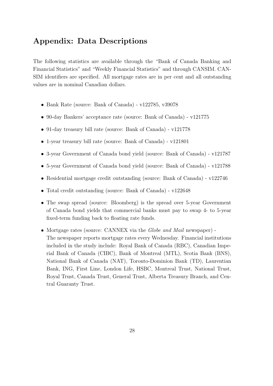## Appendix: Data Descriptions

The following statistics are available through the "Bank of Canada Banking and Financial Statistics" and "Weekly Financial Statistics" and through CANSIM. CAN-SIM identifiers are specified. All mortgage rates are in per cent and all outstanding values are in nominal Canadian dollars.

- Bank Rate (source: Bank of Canada) v122785, v39078
- 90-day Bankers' acceptance rate (source: Bank of Canada) v121775
- 91-day treasury bill rate (source: Bank of Canada) v121778
- 1-year treasury bill rate (source: Bank of Canada) v121801
- 3-year Government of Canada bond yield (source: Bank of Canada) v121787
- 5-year Government of Canada bond yield (source: Bank of Canada) v121788
- Residential mortgage credit outstanding (source: Bank of Canada) v122746
- Total credit outstanding (source: Bank of Canada) v122648
- The swap spread (source: Bloomberg) is the spread over 5-year Government of Canada bond yields that commercial banks must pay to swap 4- to 5-year fixed-term funding back to floating rate funds.
- Mortgage rates (source: CANNEX via the *Globe and Mail* newspaper) -The newspaper reports mortgage rates every Wednesday. Financial institutions included in the study include: Royal Bank of Canada (RBC), Canadian Imperial Bank of Canada (CIBC), Bank of Montreal (MTL), Scotia Bank (BNS), National Bank of Canada (NAT), Toronto-Dominion Bank (TD), Laurentian Bank, ING, First Line, London Life, HSBC, Montreal Trust, National Trust, Royal Trust, Canada Trust, General Trust, Alberta Treasury Branch, and Central Guaranty Trust.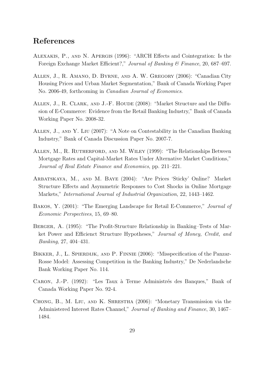## References

- Alexakis, P., and N. Apergis (1996): "ARCH Effects and Cointegration: Is the Foreign Exchange Market Efficient?," Journal of Banking & Finance, 20, 687–697.
- Allen, J., R. Amano, D. Byrne, and A. W. Gregory (2006): "Canadian City Housing Prices and Urban Market Segmentation," Bank of Canada Working Paper No. 2006-49, forthcoming in Canadian Journal of Economics.
- ALLEN, J., R. CLARK, AND J.-F. HOUDE (2008): "Market Structure and the Diffusion of E-Commerce: Evidence from the Retail Banking Industry," Bank of Canada Working Paper No. 2008-32.
- Allen, J., and Y. Liu (2007): "A Note on Contestability in the Canadian Banking Industry," Bank of Canada Discussion Paper No. 2007-7.
- Allen, M., R. Rutherford, and M. Wiley (1999): "The Relationships Between Mortgage Rates and Capital-Market Rates Under Alternative Market Conditions," Journal of Real Estate Finance and Economics, pp. 211–221.
- Arbatskaya, M., and M. Baye (2004): "Are Prices 'Sticky' Online? Market Structure Effects and Asymmetric Responses to Cost Shocks in Online Mortgage Markets," International Journal of Industrial Organization, 22, 1443–1462.
- Bakos, Y. (2001): "The Emerging Landscape for Retail E-Commerce," Journal of Economic Perspectives, 15, 69–80.
- Berger, A. (1995): "The Profit-Structure Relationship in Banking–Tests of Market Power and Efficienct Structure Hypotheses," Journal of Money, Credit, and Banking, 27, 404–431.
- BIKKER, J., L. SPIERDIJK, AND P. FINNIE (2006): "Misspecification of the Panzar-Rosse Model: Assessing Competition in the Banking Industry," De Nederlandsche Bank Working Paper No. 114.
- CARON, J.-P. (1992): "Les Taux à Terme Administrés des Banques," Bank of Canada Working Paper No. 92-4.
- Chong, B., M. Liu, and K. Shrestha (2006): "Monetary Transmission via the Administered Interest Rates Channel," Journal of Banking and Finance, 30, 1467– 1484.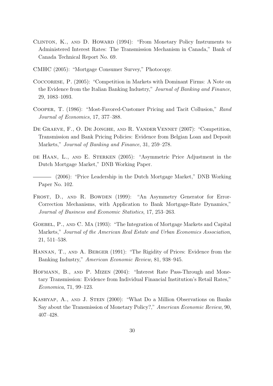- CLINTON, K., AND D. HOWARD (1994): "From Monetary Policy Instruments to Administered Interest Rates: The Transmission Mechanism in Canada," Bank of Canada Technical Report No. 69.
- CMHC (2005): "Mortgage Consumer Survey," Photocopy.
- Coccorese, P. (2005): "Competition in Markets with Dominant Firms: A Note on the Evidence from the Italian Banking Industry," Journal of Banking and Finance, 29, 1083–1093.
- Cooper, T. (1986): "Most-Favored-Customer Pricing and Tacit Collusion," Rand Journal of Economics, 17, 377–388.
- DE GRAEVE, F., O. DE JONGHE, AND R. VANDER VENNET (2007): "Competition, Transmission and Bank Pricing Policies: Evidence from Belgian Loan and Deposit Markets," Journal of Banking and Finance, 31, 259–278.
- DE HAAN, L., AND E. STERKEN (2005): "Asymmetric Price Adjustment in the Dutch Mortgage Market," DNB Working Paper.
- (2006): "Price Leadership in the Dutch Mortgage Market," DNB Working Paper No. 102.
- FROST, D., AND R. BOWDEN (1999): "An Asymmetry Generator for Error-Correction Mechanisms, with Application to Bank Mortgage-Rate Dynamics," Journal of Business and Economic Statistics, 17, 253–263.
- GOEBEL, P., AND C. MA (1993): "The Integration of Mortgage Markets and Capital Markets," Journal of the American Real Estate and Urban Economics Association, 21, 511–538.
- Hannan, T., and A. Berger (1991): "The Rigidity of Prices: Evidence from the Banking Industry," American Economic Review, 81, 938–945.
- Hofmann, B., and P. Mizen (2004): "Interest Rate Pass-Through and Monetary Transmission: Evidence from Individual Financial Institution's Retail Rates," Economica, 71, 99–123.
- Kashyap, A., and J. Stein (2000): "What Do a Million Observations on Banks Say about the Transmission of Monetary Policy?," American Economic Review, 90, 407–428.